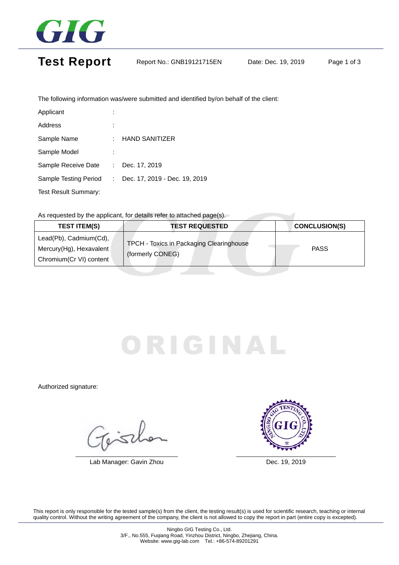

## Test Report Report No.: GNB19121715EN Date: Dec. 19, 2019 Page 1 of 3

The following information was/were submitted and identified by/on behalf of the client:

| Applicant                   |    |                               |
|-----------------------------|----|-------------------------------|
| Address                     |    |                               |
| Sample Name                 |    | <b>HAND SANITIZER</b>         |
| Sample Model                |    |                               |
| Sample Receive Date         | ÷. | Dec. 17, 2019                 |
| Sample Testing Period       |    | Dec. 17, 2019 - Dec. 19, 2019 |
| <b>Test Result Summary:</b> |    |                               |

As requested by the applicant, for details refer to attached page(s).

| <b>TEST ITEM(S)</b>                                                          | <b>TEST REQUESTED</b>                                        | <b>CONCLUSION(S)</b> |  |  |  |  |  |
|------------------------------------------------------------------------------|--------------------------------------------------------------|----------------------|--|--|--|--|--|
| Lead(Pb), Cadmium(Cd),<br>Mercury(Hg), Hexavalent<br>Chromium(Cr VI) content | TPCH - Toxics in Packaging Clearinghouse<br>(formerly CONEG) | <b>PASS</b>          |  |  |  |  |  |

# RIGINA

Authorized signature:

Fisch

Lab Manager: Gavin Zhou Dec. 19, 2019



This report is only responsible for the tested sample(s) from the client, the testing result(s) is used for scientific research, teaching or internal quality control. Without the writing agreement of the company, the client is not allowed to copy the report in part (entire copy is excepted).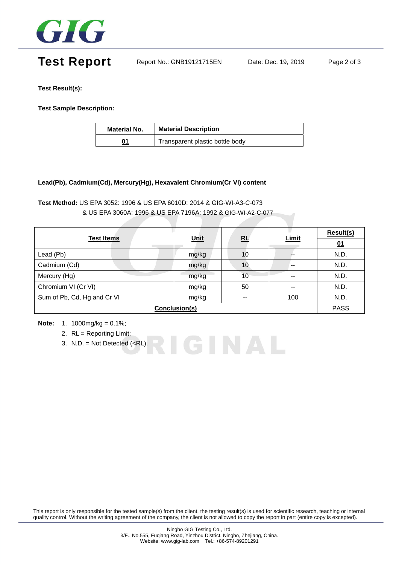

# Test Report Report No.: GNB19121715EN Date: Dec. 19, 2019 Page 2 of 3

**Test Result(s):** 

**Test Sample Description:** 

| <b>Material No.</b> | <b>Material Description</b>     |  |
|---------------------|---------------------------------|--|
| 01                  | Transparent plastic bottle body |  |

#### **Lead(Pb), Cadmium(Cd), Mercury(Hg), Hexavalent Chromium(Cr VI) content**

#### **Test Method:** US EPA 3052: 1996 & US EPA 6010D: 2014 & GIG-WI-A3-C-073 & US EPA 3060A: 1996 & US EPA 7196A: 1992 & GIG-WI-A2-C-077

|                             | Unit  | RL | <b>Limit</b> | <b>Result(s)</b> |  |
|-----------------------------|-------|----|--------------|------------------|--|
| <b>Test Items</b>           |       |    |              | 01               |  |
| Lead (Pb)                   | mg/kg | 10 |              | N.D.             |  |
| Cadmium (Cd)                | mg/kg | 10 | $- -$        | N.D.             |  |
| Mercury (Hg)                | mg/kg | 10 | --           | N.D.             |  |
| Chromium VI (Cr VI)         | mg/kg | 50 | --           | N.D.             |  |
| Sum of Pb, Cd, Hg and Cr VI | mg/kg | -- | 100          | N.D.             |  |
| Conclusion(s)               |       |    |              |                  |  |

RIGINAL

**Note:** 1. 1000mg/kg = 0.1%;

- 2. RL = Reporting Limit;
- 3. N.D. = Not Detected  $(**RL**)$ .

This report is only responsible for the tested sample(s) from the client, the testing result(s) is used for scientific research, teaching or internal quality control. Without the writing agreement of the company, the client is not allowed to copy the report in part (entire copy is excepted).